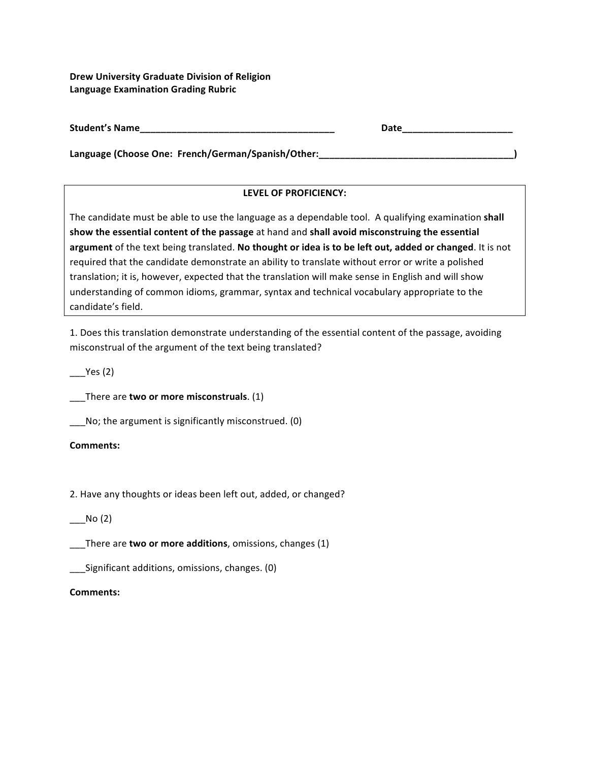**Drew University Graduate Division of Religion Language Examination Grading Rubric** 

| <b>Student's Name</b> |  |
|-----------------------|--|
|-----------------------|--|

Language (Choose One: French/German/Spanish/Other: \_\_\_\_\_\_\_\_\_\_\_\_\_\_\_\_\_\_\_\_\_\_\_\_\_\_\_\_\_\_

# LEVEL OF PROFICIENCY:

The candidate must be able to use the language as a dependable tool. A qualifying examination shall show the essential content of the passage at hand and shall avoid misconstruing the essential argument of the text being translated. No thought or idea is to be left out, added or changed. It is not required that the candidate demonstrate an ability to translate without error or write a polished translation; it is, however, expected that the translation will make sense in English and will show understanding of common idioms, grammar, syntax and technical vocabulary appropriate to the candidate's field.

1. Does this translation demonstrate understanding of the essential content of the passage, avoiding misconstrual of the argument of the text being translated?

 $Yes(2)$ 

\_\_\_There are **two or more misconstruals**. (1)

 $\Box$  No; the argument is significantly misconstrued. (0)

# **Comments:**

2. Have any thoughts or ideas been left out, added, or changed?

# $\rule{1em}{0.15mm}$ No $(2)$

**\_\_\_There are two or more additions**, omissions, changes (1)

**\_\_\_Significant additions, omissions, changes.** (0)

#### **Comments:**